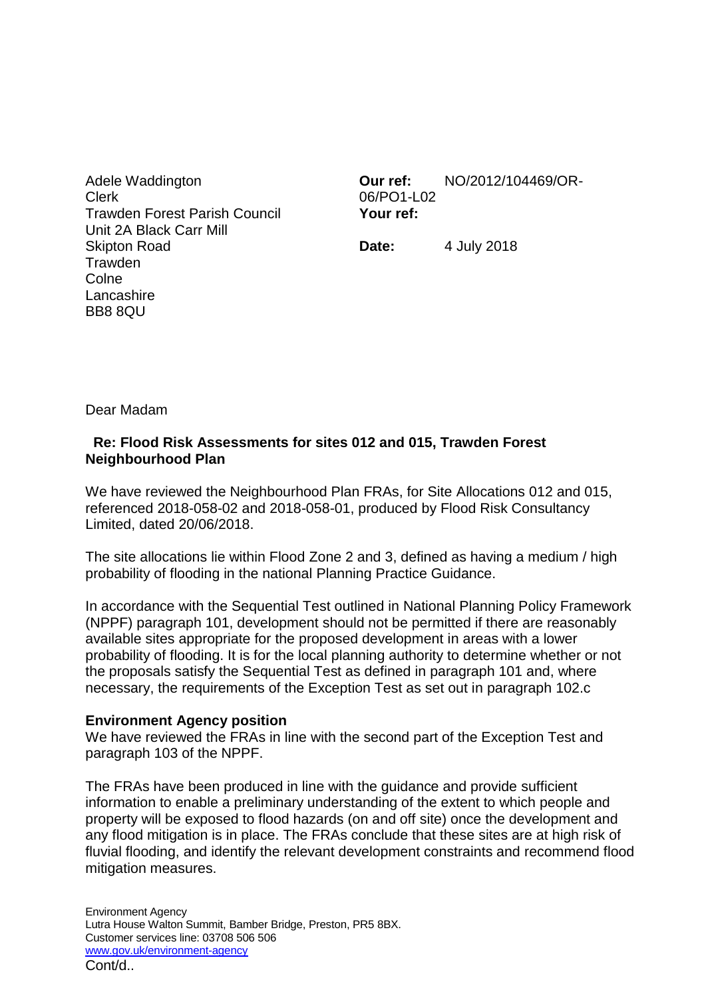Adele Waddington Clerk Trawden Forest Parish Council Unit 2A Black Carr Mill Skipton Road **Trawden Colne Lancashire** BB8 8QU

**Our ref:** NO/2012/104469/OR-06/PO1-L02 **Your ref:**

**Date:** 4 July 2018

Dear Madam

## **Re: Flood Risk Assessments for sites 012 and 015, Trawden Forest Neighbourhood Plan**

We have reviewed the Neighbourhood Plan FRAs, for Site Allocations 012 and 015, referenced 2018-058-02 and 2018-058-01, produced by Flood Risk Consultancy Limited, dated 20/06/2018.

The site allocations lie within Flood Zone 2 and 3, defined as having a medium / high probability of flooding in the national Planning Practice Guidance.

In accordance with the Sequential Test outlined in National Planning Policy Framework (NPPF) paragraph 101, development should not be permitted if there are reasonably available sites appropriate for the proposed development in areas with a lower probability of flooding. It is for the local planning authority to determine whether or not the proposals satisfy the Sequential Test as defined in paragraph 101 and, where necessary, the requirements of the Exception Test as set out in paragraph 102.c

## **Environment Agency position**

We have reviewed the FRAs in line with the second part of the Exception Test and paragraph 103 of the NPPF.

The FRAs have been produced in line with the guidance and provide sufficient information to enable a preliminary understanding of the extent to which people and property will be exposed to flood hazards (on and off site) once the development and any flood mitigation is in place. The FRAs conclude that these sites are at high risk of fluvial flooding, and identify the relevant development constraints and recommend flood mitigation measures.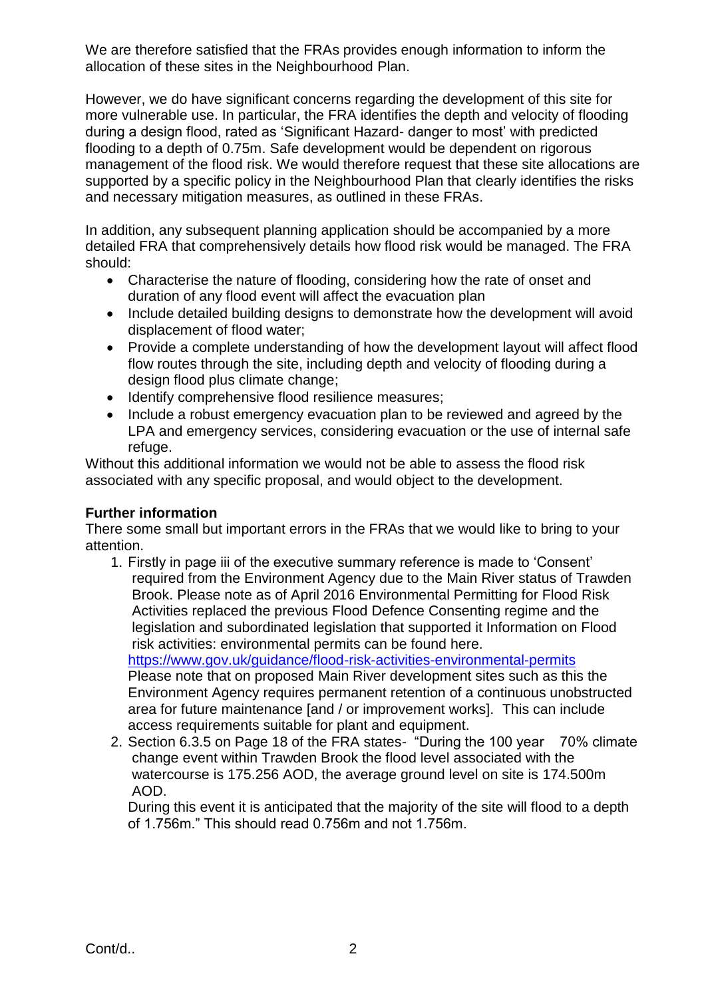We are therefore satisfied that the FRAs provides enough information to inform the allocation of these sites in the Neighbourhood Plan.

However, we do have significant concerns regarding the development of this site for more vulnerable use. In particular, the FRA identifies the depth and velocity of flooding during a design flood, rated as 'Significant Hazard- danger to most' with predicted flooding to a depth of 0.75m. Safe development would be dependent on rigorous management of the flood risk. We would therefore request that these site allocations are supported by a specific policy in the Neighbourhood Plan that clearly identifies the risks and necessary mitigation measures, as outlined in these FRAs.

In addition, any subsequent planning application should be accompanied by a more detailed FRA that comprehensively details how flood risk would be managed. The FRA should:

- Characterise the nature of flooding, considering how the rate of onset and duration of any flood event will affect the evacuation plan
- Include detailed building designs to demonstrate how the development will avoid displacement of flood water;
- Provide a complete understanding of how the development layout will affect flood flow routes through the site, including depth and velocity of flooding during a design flood plus climate change;
- Identify comprehensive flood resilience measures;
- Include a robust emergency evacuation plan to be reviewed and agreed by the LPA and emergency services, considering evacuation or the use of internal safe refuge.

Without this additional information we would not be able to assess the flood risk associated with any specific proposal, and would object to the development.

## **Further information**

There some small but important errors in the FRAs that we would like to bring to your attention.

1. Firstly in page iii of the executive summary reference is made to 'Consent' required from the Environment Agency due to the Main River status of Trawden Brook. Please note as of April 2016 Environmental Permitting for Flood Risk Activities replaced the previous Flood Defence Consenting regime and the legislation and subordinated legislation that supported it Information on Flood risk activities: environmental permits can be found here.

<https://www.gov.uk/guidance/flood-risk-activities-environmental-permits> Please note that on proposed Main River development sites such as this the Environment Agency requires permanent retention of a continuous unobstructed area for future maintenance [and / or improvement works]. This can include access requirements suitable for plant and equipment.

2. Section 6.3.5 on Page 18 of the FRA states- "During the 100 year 70% climate change event within Trawden Brook the flood level associated with the watercourse is 175.256 AOD, the average ground level on site is 174.500m AOD.

During this event it is anticipated that the majority of the site will flood to a depth of 1.756m." This should read 0.756m and not 1.756m.